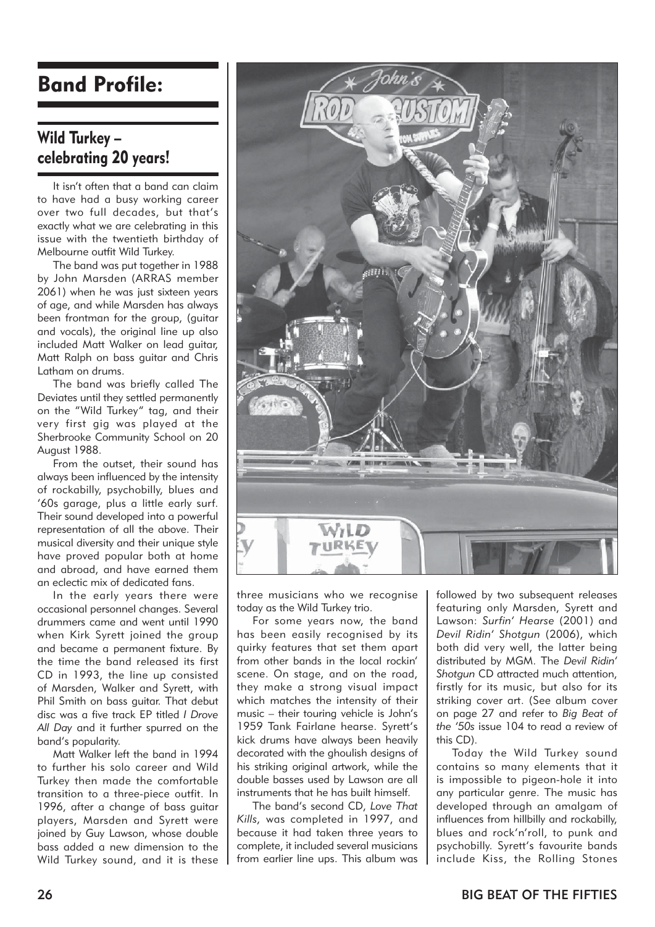## Band Profile:

## Wild Turkey – celebrating 20 years!

It isn't often that a band can claim to have had a busy working career over two full decades, but that's exactly what we are celebrating in this issue with the twentieth birthday of Melbourne outfit Wild Turkey.

The band was put together in 1988 by John Marsden (ARRAS member 2061) when he was just sixteen years of age, and while Marsden has always been frontman for the group, (guitar and vocals), the original line up also included Matt Walker on lead guitar, Matt Ralph on bass guitar and Chris Latham on drums.

The band was briefly called The Deviates until they settled permanently on the "Wild Turkey" tag, and their very first gig was played at the Sherbrooke Community School on 20 August 1988.

From the outset, their sound has always been influenced by the intensity of rockabilly, psychobilly, blues and '60s garage, plus a little early surf. Their sound developed into a powerful representation of all the above. Their musical diversity and their unique style have proved popular both at home and abroad, and have earned them an eclectic mix of dedicated fans.

In the early years there were occasional personnel changes. Several drummers came and went until 1990 when Kirk Syrett joined the group and became a permanent fixture. By the time the band released its first CD in 1993, the line up consisted of Marsden, Walker and Syrett, with Phil Smith on bass guitar. That debut disc was a five track EP titled *I Drove All Day* and it further spurred on the band's popularity.

Matt Walker left the band in 1994 to further his solo career and Wild Turkey then made the comfortable transition to a three-piece outfit. In 1996, after a change of bass guitar players, Marsden and Syrett were joined by Guy Lawson, whose double bass added a new dimension to the Wild Turkey sound, and it is these



three musicians who we recognise today as the Wild Turkey trio.

For some years now, the band has been easily recognised by its quirky features that set them apart from other bands in the local rockin' scene. On stage, and on the road, they make a strong visual impact which matches the intensity of their music – their touring vehicle is John's 1959 Tank Fairlane hearse. Syrett's kick drums have always been heavily decorated with the ghoulish designs of his striking original artwork, while the double basses used by Lawson are all instruments that he has built himself.

The band's second CD, *Love That Kills,* was completed in 1997, and because it had taken three years to complete, it included several musicians from earlier line ups. This album was

followed by two subsequent releases featuring only Marsden, Syrett and Lawson: *Surfin' Hearse* (2001) and *Devil Ridin' Shotgun* (2006), which both did very well, the latter being distributed by MGM. The *Devil Ridin' Shotgun* CD attracted much attention, firstly for its music, but also for its striking cover art. (See album cover on page 27 and refer to *Big Beat of the '50s* issue 104 to read a review of this CD).

Today the Wild Turkey sound contains so many elements that it is impossible to pigeon-hole it into any particular genre. The music has developed through an amalgam of influences from hillbilly and rockabilly, blues and rock'n'roll, to punk and psychobilly. Syrett's favourite bands include Kiss, the Rolling Stones